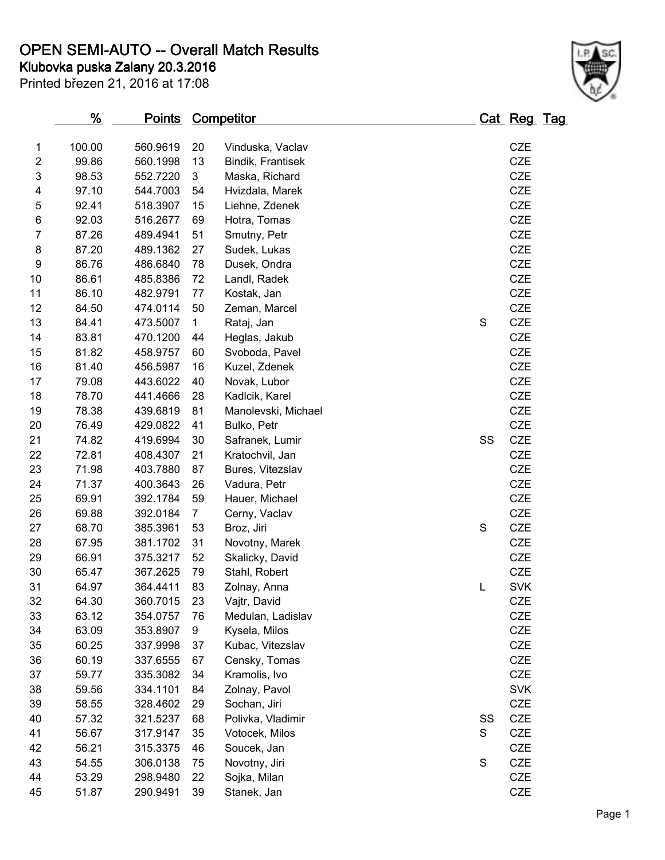**OPEN SEMI-AUTO -- Overall Match Results**

**Klubovka puska Zalany 20.3.2016**

| Printed březen 21, 2016 at 17:08 |  |  |
|----------------------------------|--|--|

|                | $\frac{9}{6}$ | <u>Points</u> |                | <u>Competitor</u>   |             | <u>Cat Reg Tag</u> |  |
|----------------|---------------|---------------|----------------|---------------------|-------------|--------------------|--|
| 1              | 100.00        | 560.9619      | 20             | Vinduska, Vaclav    |             | <b>CZE</b>         |  |
| $\overline{c}$ | 99.86         | 560.1998      | 13             | Bindik, Frantisek   |             | CZE                |  |
| 3              | 98.53         | 552.7220      | 3              | Maska, Richard      |             | <b>CZE</b>         |  |
| 4              | 97.10         | 544.7003      | 54             | Hvizdala, Marek     |             | <b>CZE</b>         |  |
| 5              | 92.41         | 518.3907      | 15             | Liehne, Zdenek      |             | <b>CZE</b>         |  |
| 6              | 92.03         | 516.2677      | 69             | Hotra, Tomas        |             | CZE                |  |
| $\overline{7}$ | 87.26         | 489.4941      | 51             | Smutny, Petr        |             | CZE                |  |
| 8              | 87.20         | 489.1362      | 27             | Sudek, Lukas        |             | <b>CZE</b>         |  |
| 9              | 86.76         | 486.6840      | 78             | Dusek, Ondra        |             | CZE                |  |
| 10             | 86.61         | 485.8386      | 72             | Landl, Radek        |             | <b>CZE</b>         |  |
| 11             | 86.10         | 482.9791      | 77             | Kostak, Jan         |             | CZE                |  |
| 12             | 84.50         | 474.0114      | 50             | Zeman, Marcel       |             | <b>CZE</b>         |  |
| 13             | 84.41         | 473.5007      | $\mathbf 1$    | Rataj, Jan          | S           | CZE                |  |
| 14             | 83.81         | 470.1200      | 44             | Heglas, Jakub       |             | CZE                |  |
| 15             | 81.82         | 458.9757      | 60             | Svoboda, Pavel      |             | CZE                |  |
| 16             | 81.40         | 456.5987      | 16             | Kuzel, Zdenek       |             | <b>CZE</b>         |  |
| 17             | 79.08         | 443.6022      | 40             | Novak, Lubor        |             | <b>CZE</b>         |  |
| 18             | 78.70         | 441.4666      | 28             | Kadlcik, Karel      |             | <b>CZE</b>         |  |
| 19             | 78.38         | 439.6819      | 81             | Manolevski, Michael |             | CZE                |  |
| 20             | 76.49         | 429.0822      | 41             | Bulko, Petr         |             | <b>CZE</b>         |  |
| 21             | 74.82         | 419.6994      | 30             | Safranek, Lumir     | SS          | <b>CZE</b>         |  |
| 22             | 72.81         | 408.4307      | 21             | Kratochvil, Jan     |             | CZE                |  |
| 23             | 71.98         | 403.7880      | 87             | Bures, Vitezslav    |             | <b>CZE</b>         |  |
| 24             | 71.37         | 400.3643      | 26             | Vadura, Petr        |             | CZE                |  |
| 25             | 69.91         | 392.1784      | 59             | Hauer, Michael      |             | CZE                |  |
| 26             | 69.88         | 392.0184      | $\overline{7}$ | Cerny, Vaclav       |             | <b>CZE</b>         |  |
| 27             | 68.70         | 385.3961      | 53             | Broz, Jiri          | $\mathbf S$ | CZE                |  |
| 28             | 67.95         | 381.1702      | 31             | Novotny, Marek      |             | <b>CZE</b>         |  |
| 29             | 66.91         | 375.3217      | 52             | Skalicky, David     |             | CZE                |  |
| 30             | 65.47         | 367.2625      | 79             | Stahl, Robert       |             | <b>CZE</b>         |  |
| 31             | 64.97         | 364.4411      | 83             | Zolnay, Anna        | L           | <b>SVK</b>         |  |
| 32             | 64.30         | 360.7015      | 23             | Vajtr, David        |             | <b>CZE</b>         |  |
| 33             | 63.12         | 354.0757      | 76             | Medulan, Ladislav   |             | <b>CZE</b>         |  |
| 34             | 63.09         | 353.8907      | 9              | Kysela, Milos       |             | <b>CZE</b>         |  |
| 35             | 60.25         | 337.9998      | 37             | Kubac, Vitezslav    |             | CZE                |  |
| 36             | 60.19         | 337.6555      | 67             | Censky, Tomas       |             | <b>CZE</b>         |  |
| 37             | 59.77         | 335.3082      | 34             | Kramolis, Ivo       |             | <b>CZE</b>         |  |
| 38             | 59.56         | 334.1101      | 84             | Zolnay, Pavol       |             | <b>SVK</b>         |  |
| 39             | 58.55         | 328.4602      | 29             | Sochan, Jiri        |             | CZE                |  |
| 40             | 57.32         | 321.5237      | 68             | Polivka, Vladimir   | SS          | CZE                |  |
| 41             | 56.67         | 317.9147      | 35             | Votocek, Milos      | S           | CZE                |  |
| 42             | 56.21         | 315.3375      | 46             | Soucek, Jan         |             | CZE                |  |
| 43             | 54.55         | 306.0138      | 75             | Novotny, Jiri       | $\mathbf S$ | <b>CZE</b>         |  |
| 44             | 53.29         | 298.9480      | 22             | Sojka, Milan        |             | CZE                |  |
| 45             | 51.87         | 290.9491      | 39             | Stanek, Jan         |             | CZE                |  |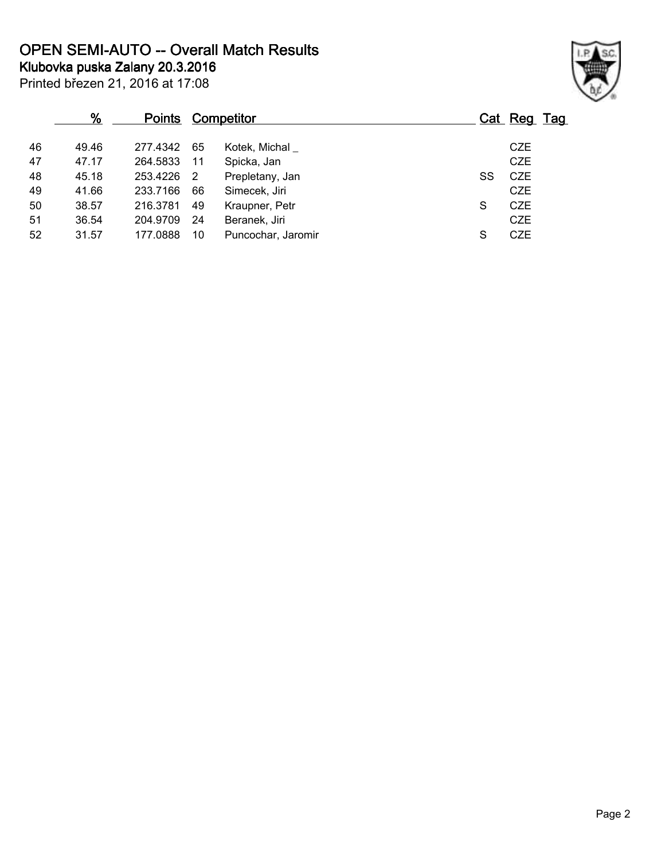**OPEN SEMI-AUTO -- Overall Match Results**

**Klubovka puska Zalany 20.3.2016**



| Printed březen 21, 2016 at 17:08 |  |  |  |  |
|----------------------------------|--|--|--|--|
|----------------------------------|--|--|--|--|

|    | %     | <b>Points</b> |    | Competitor         |    | Cat Reg Tag |
|----|-------|---------------|----|--------------------|----|-------------|
| 46 | 49.46 | 277.4342      | 65 | Kotek, Michal      |    | <b>CZE</b>  |
| 47 | 47.17 | 264.5833      | 11 | Spicka, Jan        |    | <b>CZE</b>  |
| 48 | 45.18 | 253.4226      | 2  | Prepletany, Jan    | SS | <b>CZE</b>  |
| 49 | 41.66 | 233.7166      | 66 | Simecek, Jiri      |    | CZE         |
| 50 | 38.57 | 216.3781      | 49 | Kraupner, Petr     | S  | <b>CZE</b>  |
| 51 | 36.54 | 204.9709      | 24 | Beranek, Jiri      |    | <b>CZE</b>  |
| 52 | 31.57 | 177.0888      | 10 | Puncochar, Jaromir | S  | <b>CZE</b>  |